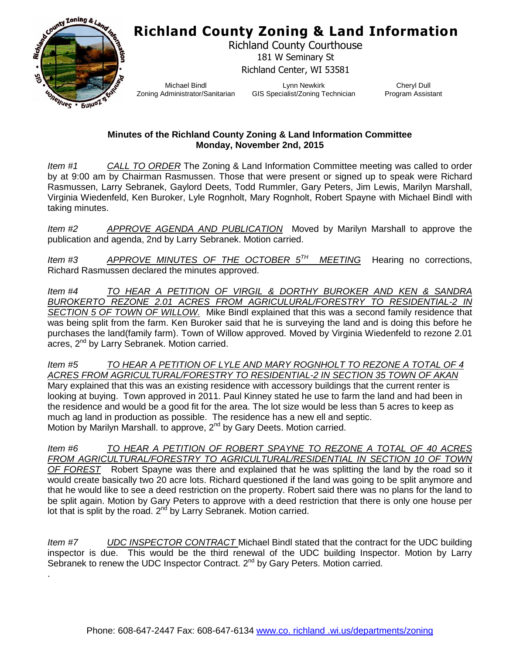## **Richland County Zoning & Land Information**



.

Richland County Courthouse 181 W Seminary St Richland Center, WI 53581

Michael Bindl Zoning Administrator/Sanitarian

Lynn Newkirk GIS Specialist/Zoning Technician

Cheryl Dull Program Assistant

## **Minutes of the Richland County Zoning & Land Information Committee Monday, November 2nd, 2015**

*Item #1 CALL TO ORDER* The Zoning & Land Information Committee meeting was called to order by at 9:00 am by Chairman Rasmussen. Those that were present or signed up to speak were Richard Rasmussen, Larry Sebranek, Gaylord Deets, Todd Rummler, Gary Peters, Jim Lewis, Marilyn Marshall, Virginia Wiedenfeld, Ken Buroker, Lyle Rognholt, Mary Rognholt, Robert Spayne with Michael Bindl with taking minutes.

*Item #2 APPROVE AGENDA AND PUBLICATION* Moved by Marilyn Marshall to approve the publication and agenda, 2nd by Larry Sebranek. Motion carried.

*Item #3 APPROVE MINUTES OF THE OCTOBER 5TH MEETING* Hearing no corrections, Richard Rasmussen declared the minutes approved.

*Item #4 TO HEAR A PETITION OF VIRGIL & DORTHY BUROKER AND KEN & SANDRA BUROKERTO REZONE 2.01 ACRES FROM AGRICULURAL/FORESTRY TO RESIDENTIAL-2 IN SECTION 5 OF TOWN OF WILLOW.* Mike Bindl explained that this was a second family residence that was being split from the farm. Ken Buroker said that he is surveying the land and is doing this before he purchases the land(family farm). Town of Willow approved. Moved by Virginia Wiedenfeld to rezone 2.01 acres, 2<sup>nd</sup> by Larry Sebranek. Motion carried.

*Item #5 TO HEAR A PETITION OF LYLE AND MARY ROGNHOLT TO REZONE A TOTAL OF 4 ACRES FROM AGRICULTURAL/FORESTRY TO RESIDENTIAL-2 IN SECTION 35 TOWN OF AKAN* Mary explained that this was an existing residence with accessory buildings that the current renter is looking at buying. Town approved in 2011. Paul Kinney stated he use to farm the land and had been in the residence and would be a good fit for the area. The lot size would be less than 5 acres to keep as much ag land in production as possible. The residence has a new ell and septic. Motion by Marilyn Marshall. to approve, 2<sup>nd</sup> by Gary Deets. Motion carried.

*Item #6 TO HEAR A PETITION OF ROBERT SPAYNE TO REZONE A TOTAL OF 40 ACRES FROM AGRICULTURAL/FORESTRY TO AGRICULTURAL/RESIDENTIAL IN SECTION 10 OF TOWN OF FOREST* Robert Spayne was there and explained that he was splitting the land by the road so it would create basically two 20 acre lots. Richard questioned if the land was going to be split anymore and that he would like to see a deed restriction on the property. Robert said there was no plans for the land to be split again. Motion by Gary Peters to approve with a deed restriction that there is only one house per lot that is split by the road.  $2^{nd}$  by Larry Sebranek. Motion carried.

*Item #7 UDC INSPECTOR CONTRACT* Michael Bindl stated that the contract for the UDC building inspector is due. This would be the third renewal of the UDC building Inspector. Motion by Larry Sebranek to renew the UDC Inspector Contract. 2<sup>nd</sup> by Gary Peters. Motion carried.